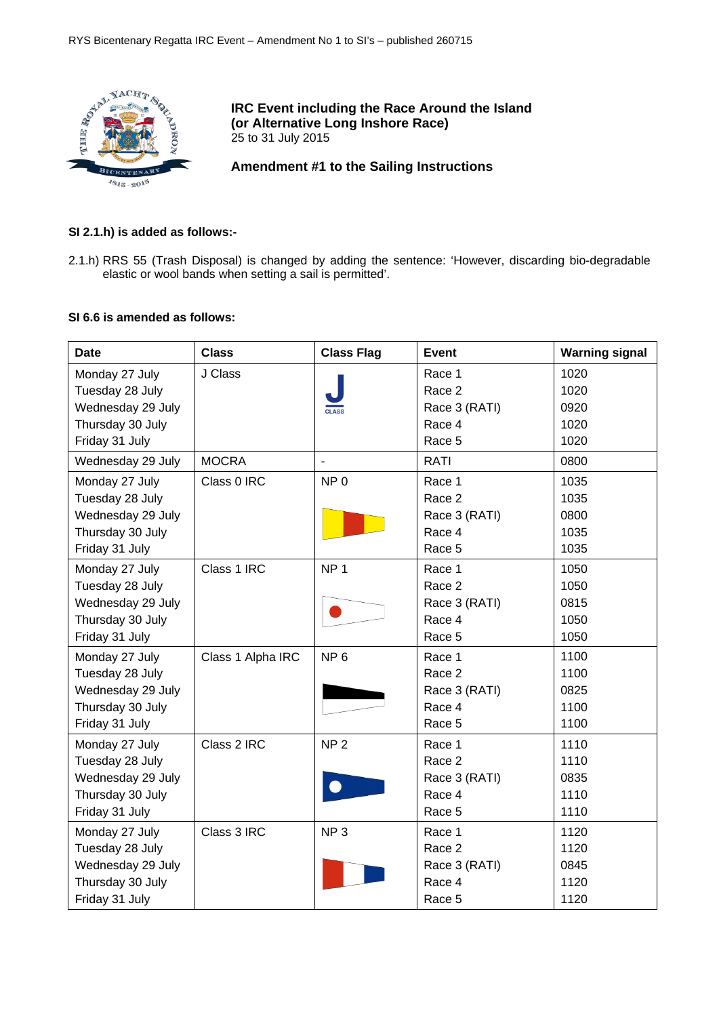

## **IRC Event including the Race Around the Island (or Alternative Long Inshore Race)** 25 to 31 July 2015

**Amendment #1 to the Sailing Instructions**

# **SI 2.1.h) is added as follows:-**

2.1.h) RRS 55 (Trash Disposal) is changed by adding the sentence: 'However, discarding bio-degradable elastic or wool bands when setting a sail is permitted'.

# **SI 6.6 is amended as follows:**

| <b>Date</b>       | <b>Class</b>      | <b>Class Flag</b> | <b>Event</b>  | <b>Warning signal</b> |
|-------------------|-------------------|-------------------|---------------|-----------------------|
| Monday 27 July    | J Class           |                   | Race 1        | 1020                  |
| Tuesday 28 July   |                   |                   | Race 2        | 1020                  |
| Wednesday 29 July |                   |                   | Race 3 (RATI) | 0920                  |
| Thursday 30 July  |                   |                   | Race 4        | 1020                  |
| Friday 31 July    |                   |                   | Race 5        | 1020                  |
| Wednesday 29 July | <b>MOCRA</b>      |                   | <b>RATI</b>   | 0800                  |
| Monday 27 July    | Class 0 IRC       | NP <sub>0</sub>   | Race 1        | 1035                  |
| Tuesday 28 July   |                   |                   | Race 2        | 1035                  |
| Wednesday 29 July |                   |                   | Race 3 (RATI) | 0800                  |
| Thursday 30 July  |                   |                   | Race 4        | 1035                  |
| Friday 31 July    |                   |                   | Race 5        | 1035                  |
| Monday 27 July    | Class 1 IRC       | NP <sub>1</sub>   | Race 1        | 1050                  |
| Tuesday 28 July   |                   |                   | Race 2        | 1050                  |
| Wednesday 29 July |                   |                   | Race 3 (RATI) | 0815                  |
| Thursday 30 July  |                   |                   | Race 4        | 1050                  |
| Friday 31 July    |                   |                   | Race 5        | 1050                  |
| Monday 27 July    | Class 1 Alpha IRC | NP <sub>6</sub>   | Race 1        | 1100                  |
| Tuesday 28 July   |                   |                   | Race 2        | 1100                  |
| Wednesday 29 July |                   |                   | Race 3 (RATI) | 0825                  |
| Thursday 30 July  |                   |                   | Race 4        | 1100                  |
| Friday 31 July    |                   |                   | Race 5        | 1100                  |
| Monday 27 July    | Class 2 IRC       | NP <sub>2</sub>   | Race 1        | 1110                  |
| Tuesday 28 July   |                   |                   | Race 2        | 1110                  |
| Wednesday 29 July |                   |                   | Race 3 (RATI) | 0835                  |
| Thursday 30 July  |                   |                   | Race 4        | 1110                  |
| Friday 31 July    |                   |                   | Race 5        | 1110                  |
| Monday 27 July    | Class 3 IRC       | NP <sub>3</sub>   | Race 1        | 1120                  |
| Tuesday 28 July   |                   |                   | Race 2        | 1120                  |
| Wednesday 29 July |                   |                   | Race 3 (RATI) | 0845                  |
| Thursday 30 July  |                   |                   | Race 4        | 1120                  |
| Friday 31 July    |                   |                   | Race 5        | 1120                  |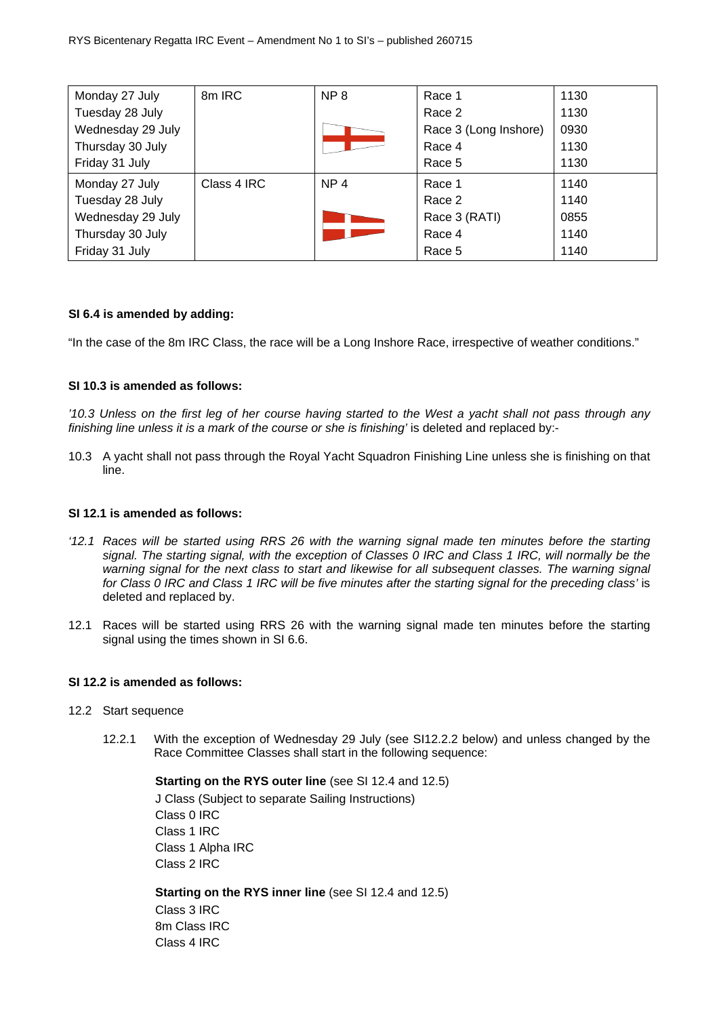| Monday 27 July    | 8m IRC      | NP <sub>8</sub> | Race 1                | 1130 |
|-------------------|-------------|-----------------|-----------------------|------|
| Tuesday 28 July   |             |                 | Race 2                | 1130 |
| Wednesday 29 July |             |                 | Race 3 (Long Inshore) | 0930 |
| Thursday 30 July  |             |                 | Race 4                | 1130 |
| Friday 31 July    |             |                 | Race 5                | 1130 |
| Monday 27 July    | Class 4 IRC | NP <sub>4</sub> | Race 1                | 1140 |
| Tuesday 28 July   |             |                 | Race 2                | 1140 |
| Wednesday 29 July |             |                 | Race 3 (RATI)         | 0855 |
| Thursday 30 July  |             |                 | Race 4                | 1140 |
| Friday 31 July    |             |                 | Race 5                | 1140 |

## **SI 6.4 is amended by adding:**

"In the case of the 8m IRC Class, the race will be a Long Inshore Race, irrespective of weather conditions."

### **SI 10.3 is amended as follows:**

*'10.3 Unless on the first leg of her course having started to the West a yacht shall not pass through any finishing line unless it is a mark of the course or she is finishing'* is deleted and replaced by:-

10.3 A yacht shall not pass through the Royal Yacht Squadron Finishing Line unless she is finishing on that line.

#### **SI 12.1 is amended as follows:**

- *'12.1 Races will be started using RRS 26 with the warning signal made ten minutes before the starting signal. The starting signal, with the exception of Classes 0 IRC and Class 1 IRC, will normally be the warning signal for the next class to start and likewise for all subsequent classes. The warning signal for Class 0 IRC and Class 1 IRC will be five minutes after the starting signal for the preceding class'* is deleted and replaced by.
- 12.1 Races will be started using RRS 26 with the warning signal made ten minutes before the starting signal using the times shown in SI 6.6.

#### **SI 12.2 is amended as follows:**

- 12.2 Start sequence
	- 12.2.1 With the exception of Wednesday 29 July (see SI12.2.2 below) and unless changed by the Race Committee Classes shall start in the following sequence:

**Starting on the RYS outer line** (see SI 12.4 and 12.5)

J Class (Subject to separate Sailing Instructions) Class 0 IRC Class 1 IRC Class 1 Alpha IRC Class 2 IRC

**Starting on the RYS inner line** (see SI 12.4 and 12.5) Class 3 IRC 8m Class IRC Class 4 IRC